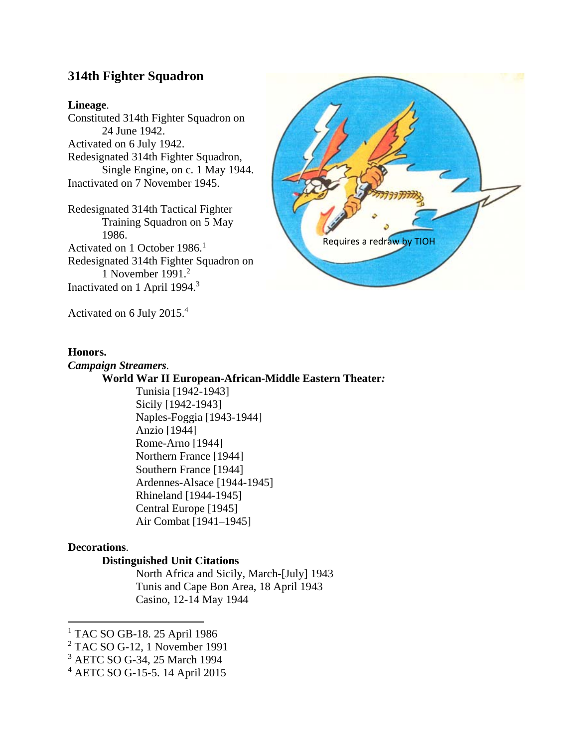# **314th Fighter Squadron**

#### **Lineage**.

Constituted 314th Fighter Squadron on 24 June 1942. Activated on 6 July 1942. Redesignated 314th Fighter Squadron, Single Engine, on c. 1 May 1944. Inactivated on 7 November 1945.

Redesignated 314th Tactical Fighter Training Squadron on 5 May 1986. Activated on 1 October 1986.<sup>1</sup> Redesignated 314th Fighter Squadron on 1 November 1991.2 Inactivated on 1 April 1994.<sup>3</sup>



Activated on 6 July 2015.4

#### **Honors.**

*Campaign Streamers.*  **World War II European-African-Middle Eastern Theater***:*  Tunisia [1942-1943] Sicily [1942-1943] Naples-Foggia [1943-1944] Anzio [1944] Rome-Arno [1944] Northern France [1944] Southern France [1944] Ardennes-Alsace [1944-1945] Rhineland [1944-1945] Central Europe [1945] Air Combat [1941–1945]

# **Decorations**.

# **Distinguished Unit Citations**

North Africa and Sicily, March-[July] 1943 Tunis and Cape Bon Area, 18 April 1943 Casino, 12-14 May 1944

 1 TAC SO GB-18. 25 April 1986

<sup>2</sup> TAC SO G-12, 1 November 1991

<sup>3</sup> AETC SO G-34, 25 March 1994

<sup>4</sup> AETC SO G-15-5. 14 April 2015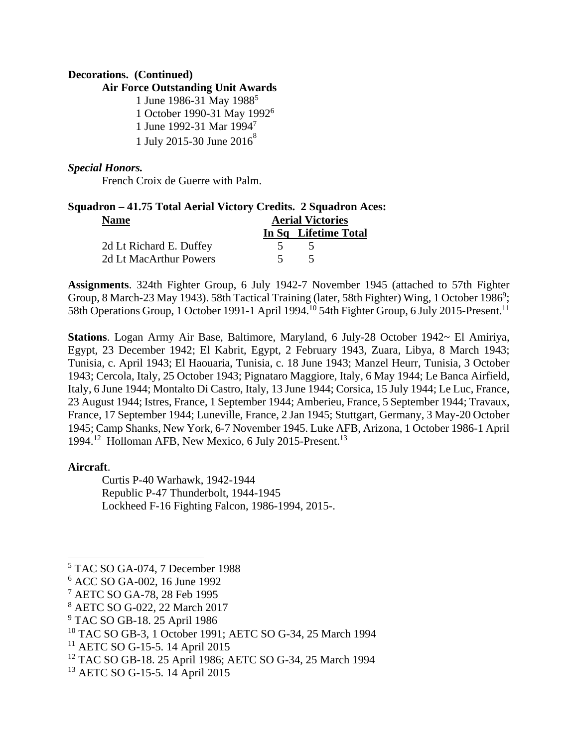#### **Decorations. (Continued)**

#### **Air Force Outstanding Unit Awards**

1 June 1986-31 May 1988<sup>5</sup> 1 October 1990-31 May 1992<sup>6</sup> 1 June 1992-31 Mar 19947 1 July 2015-30 June  $2016^8$ 

#### *Special Honors.*

French Croix de Guerre with Palm.

# **Squadron – 41.75 Total Aerial Victory Credits. 2 Squadron Aces: Name Aerial Victories In Sq Lifetime Total**  2d Lt Richard E. Duffey 5 5

2d Lt MacArthur Powers 5 5 5

**Assignments**. 324th Fighter Group, 6 July 1942-7 November 1945 (attached to 57th Fighter Group, 8 March-23 May 1943). 58th Tactical Training (later, 58th Fighter) Wing, 1 October 1986<sup>9</sup>; 58th Operations Group, 1 October 1991-1 April 1994.<sup>10</sup> 54th Fighter Group, 6 July 2015-Present.<sup>11</sup>

**Stations**. Logan Army Air Base, Baltimore, Maryland, 6 July-28 October 1942~ El Amiriya, Egypt, 23 December 1942; El Kabrit, Egypt, 2 February 1943, Zuara, Libya, 8 March 1943; Tunisia, c. April 1943; El Haouaria, Tunisia, c. 18 June 1943; Manzel Heurr, Tunisia, 3 October 1943; Cercola, Italy, 25 October 1943; Pignataro Maggiore, Italy, 6 May 1944; Le Banca Airfield, Italy, 6 June 1944; Montalto Di Castro, Italy, 13 June 1944; Corsica, 15 July 1944; Le Luc, France, 23 August 1944; Istres, France, 1 September 1944; Amberieu, France, 5 September 1944; Travaux, France, 17 September 1944; Luneville, France, 2 Jan 1945; Stuttgart, Germany, 3 May-20 October 1945; Camp Shanks, New York, 6-7 November 1945. Luke AFB, Arizona, 1 October 1986-1 April 1994.12 Holloman AFB, New Mexico, 6 July 2015-Present.13

# **Aircraft**.

Curtis P-40 Warhawk, 1942-1944 Republic P-47 Thunderbolt, 1944-1945 Lockheed F-16 Fighting Falcon, 1986-1994, 2015-.

<sup>5</sup> TAC SO GA-074, 7 December 1988

<sup>6</sup> ACC SO GA-002, 16 June 1992

<sup>7</sup> AETC SO GA-78, 28 Feb 1995

<sup>8</sup> AETC SO G-022, 22 March 2017

<sup>9</sup> TAC SO GB-18. 25 April 1986

<sup>10</sup> TAC SO GB-3, 1 October 1991; AETC SO G-34, 25 March 1994

<sup>&</sup>lt;sup>11</sup> AETC SO G-15-5. 14 April 2015

<sup>12</sup> TAC SO GB-18. 25 April 1986; AETC SO G-34, 25 March 1994

<sup>13</sup> AETC SO G-15-5. 14 April 2015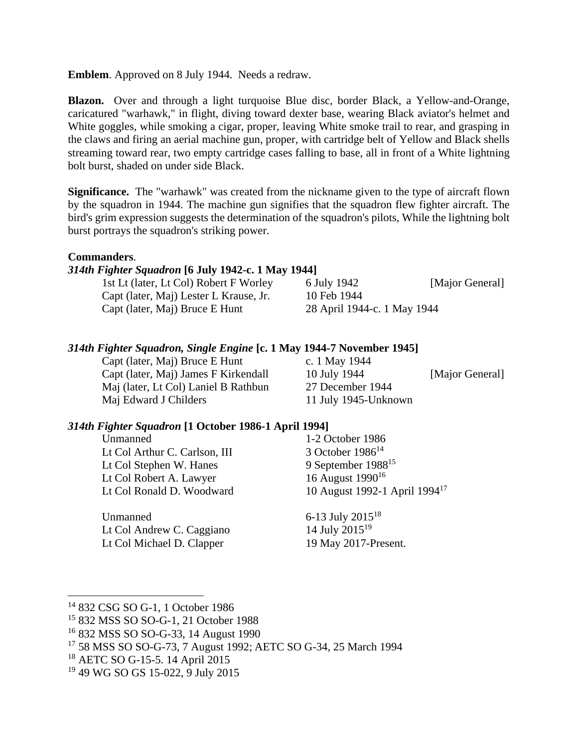**Emblem**. Approved on 8 July 1944. Needs a redraw.

**Blazon.** Over and through a light turquoise Blue disc, border Black, a Yellow-and-Orange, caricatured "warhawk," in flight, diving toward dexter base, wearing Black aviator's helmet and White goggles, while smoking a cigar, proper, leaving White smoke trail to rear, and grasping in the claws and firing an aerial machine gun, proper, with cartridge belt of Yellow and Black shells streaming toward rear, two empty cartridge cases falling to base, all in front of a White lightning bolt burst, shaded on under side Black.

**Significance.** The "warhawk" was created from the nickname given to the type of aircraft flown by the squadron in 1944. The machine gun signifies that the squadron flew fighter aircraft. The bird's grim expression suggests the determination of the squadron's pilots, While the lightning bolt burst portrays the squadron's striking power.

# **Commanders**.

# *314th Fighter Squadron* **[6 July 1942-c. 1 May 1944]**

| 1st Lt (later, Lt Col) Robert F Worley | 6 July 1942                 | [Major General] |
|----------------------------------------|-----------------------------|-----------------|
| Capt (later, Maj) Lester L Krause, Jr. | 10 Feb 1944                 |                 |
| Capt (later, Maj) Bruce E Hunt         | 28 April 1944-c. 1 May 1944 |                 |

# *314th Fighter Squadron, Single Engine* **[c. 1 May 1944-7 November 1945]**

Capt (later, Maj) Bruce E Hunt c. 1 May 1944 Maj (later, Lt Col) Laniel B Rathbun 27 December 1944 Maj Edward J Childers 11 July 1945-Unknown

Capt (later, Maj) James F Kirkendall 10 July 1944 [Major General]

# *314th Fighter Squadron* **[1 October 1986-1 April 1994]**

Unmanned 1-2 October 1986 Lt Col Arthur C. Carlson, III 3 October 1986<sup>14</sup> Lt Col Stephen W. Hanes 9 September 1988<sup>15</sup><br>Lt Col Robert A. Lawyer 16 August 1990<sup>16</sup> Lt Col Robert A. Lawyer Lt Col Ronald D. Woodward 10 August 1992-1 April 1994<sup>17</sup>

Unmanned  $6-13$  July  $2015^{18}$ Lt Col Andrew C. Caggiano 14 July 2015<sup>19</sup> Lt Col Michael D. Clapper 19 May 2017-Present.

<sup>14 832</sup> CSG SO G-1, 1 October 1986

<sup>15 832</sup> MSS SO SO-G-1, 21 October 1988

<sup>16 832</sup> MSS SO SO-G-33, 14 August 1990

<sup>17 58</sup> MSS SO SO-G-73, 7 August 1992; AETC SO G-34, 25 March 1994

<sup>18</sup> AETC SO G-15-5. 14 April 2015

<sup>19 49</sup> WG SO GS 15-022, 9 July 2015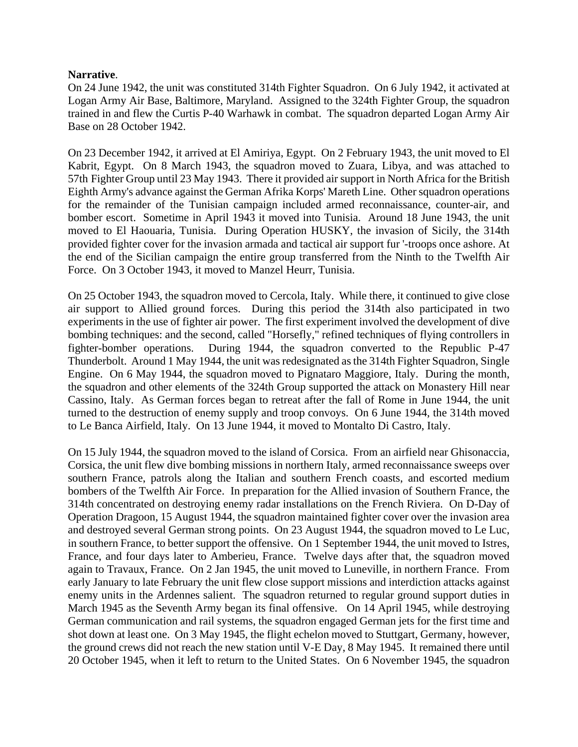#### **Narrative**.

On 24 June 1942, the unit was constituted 314th Fighter Squadron. On 6 July 1942, it activated at Logan Army Air Base, Baltimore, Maryland. Assigned to the 324th Fighter Group, the squadron trained in and flew the Curtis P-40 Warhawk in combat. The squadron departed Logan Army Air Base on 28 October 1942.

On 23 December 1942, it arrived at El Amiriya, Egypt. On 2 February 1943, the unit moved to El Kabrit, Egypt. On 8 March 1943, the squadron moved to Zuara, Libya, and was attached to 57th Fighter Group until 23 May 1943. There it provided air support in North Africa for the British Eighth Army's advance against the German Afrika Korps' Mareth Line. Other squadron operations for the remainder of the Tunisian campaign included armed reconnaissance, counter-air, and bomber escort. Sometime in April 1943 it moved into Tunisia. Around 18 June 1943, the unit moved to El Haouaria, Tunisia. During Operation HUSKY, the invasion of Sicily, the 314th provided fighter cover for the invasion armada and tactical air support fur '-troops once ashore. At the end of the Sicilian campaign the entire group transferred from the Ninth to the Twelfth Air Force. On 3 October 1943, it moved to Manzel Heurr, Tunisia.

On 25 October 1943, the squadron moved to Cercola, Italy. While there, it continued to give close air support to Allied ground forces. During this period the 314th also participated in two experiments in the use of fighter air power. The first experiment involved the development of dive bombing techniques: and the second, called "Horsefly," refined techniques of flying controllers in fighter-bomber operations. During 1944, the squadron converted to the Republic P-47 Thunderbolt. Around 1 May 1944, the unit was redesignated as the 314th Fighter Squadron, Single Engine. On 6 May 1944, the squadron moved to Pignataro Maggiore, Italy. During the month, the squadron and other elements of the 324th Group supported the attack on Monastery Hill near Cassino, Italy. As German forces began to retreat after the fall of Rome in June 1944, the unit turned to the destruction of enemy supply and troop convoys. On 6 June 1944, the 314th moved to Le Banca Airfield, Italy. On 13 June 1944, it moved to Montalto Di Castro, Italy.

On 15 July 1944, the squadron moved to the island of Corsica. From an airfield near Ghisonaccia, Corsica, the unit flew dive bombing missions in northern Italy, armed reconnaissance sweeps over southern France, patrols along the Italian and southern French coasts, and escorted medium bombers of the Twelfth Air Force. In preparation for the Allied invasion of Southern France, the 314th concentrated on destroying enemy radar installations on the French Riviera. On D-Day of Operation Dragoon, 15 August 1944, the squadron maintained fighter cover over the invasion area and destroyed several German strong points. On 23 August 1944, the squadron moved to Le Luc, in southern France, to better support the offensive. On 1 September 1944, the unit moved to Istres, France, and four days later to Amberieu, France. Twelve days after that, the squadron moved again to Travaux, France. On 2 Jan 1945, the unit moved to Luneville, in northern France. From early January to late February the unit flew close support missions and interdiction attacks against enemy units in the Ardennes salient. The squadron returned to regular ground support duties in March 1945 as the Seventh Army began its final offensive. On 14 April 1945, while destroying German communication and rail systems, the squadron engaged German jets for the first time and shot down at least one. On 3 May 1945, the flight echelon moved to Stuttgart, Germany, however, the ground crews did not reach the new station until V-E Day, 8 May 1945. It remained there until 20 October 1945, when it left to return to the United States. On 6 November 1945, the squadron